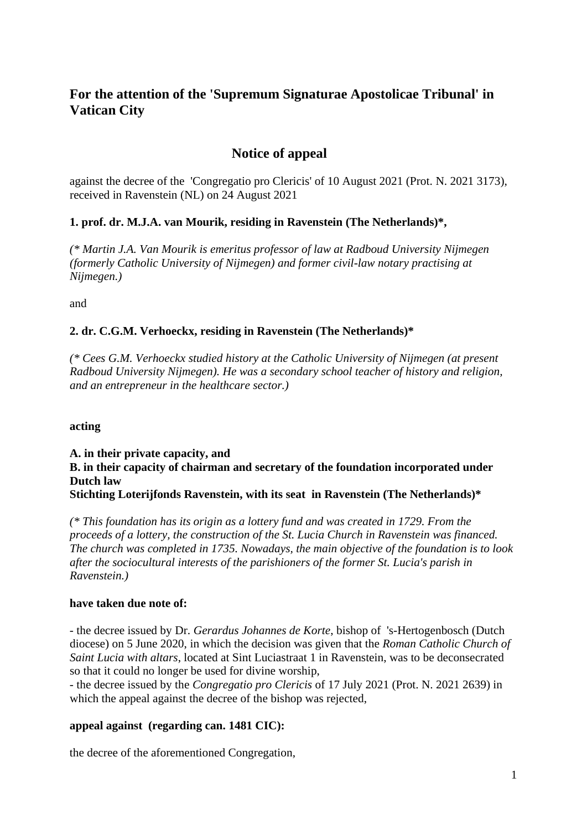# **For the attention of the 'Supremum Signaturae Apostolicae Tribunal' in Vatican City**

# **Notice of appeal**

against the decree of the 'Congregatio pro Clericis' of 10 August 2021 (Prot. N. 2021 3173), received in Ravenstein (NL) on 24 August 2021

# **1. prof. dr. M.J.A. van Mourik, residing in Ravenstein (The Netherlands)\*,**

*(\* Martin J.A. Van Mourik is emeritus professor of law at Radboud University Nijmegen (formerly Catholic University of Nijmegen) and former civil-law notary practising at Nijmegen.)*

and

# **2. dr. C.G.M. Verhoeckx, residing in Ravenstein (The Netherlands)\***

*(\* Cees G.M. Verhoeckx studied history at the Catholic University of Nijmegen (at present Radboud University Nijmegen). He was a secondary school teacher of history and religion, and an entrepreneur in the healthcare sector.)*

#### **acting**

#### **A. in their private capacity, and B. in their capacity of chairman and secretary of the foundation incorporated under Dutch law Stichting Loterijfonds Ravenstein, with its seat in Ravenstein (The Netherlands)\***

*(\* This foundation has its origin as a lottery fund and was created in 1729. From the proceeds of a lottery, the construction of the St. Lucia Church in Ravenstein was financed. The church was completed in 1735. Nowadays, the main objective of the foundation is to look after the sociocultural interests of the parishioners of the former St. Lucia's parish in Ravenstein.)*

#### **have taken due note of:**

- the decree issued by Dr. *Gerardus Johannes de Korte*, bishop of 's-Hertogenbosch (Dutch diocese) on 5 June 2020, in which the decision was given that the *Roman Catholic Church of Saint Lucia with altars*, located at Sint Luciastraat 1 in Ravenstein, was to be deconsecrated so that it could no longer be used for divine worship,

- the decree issued by the *Congregatio pro Clericis* of 17 July 2021 (Prot. N. 2021 2639) in which the appeal against the decree of the bishop was rejected,

#### **appeal against (regarding can. 1481 CIC):**

the decree of the aforementioned Congregation,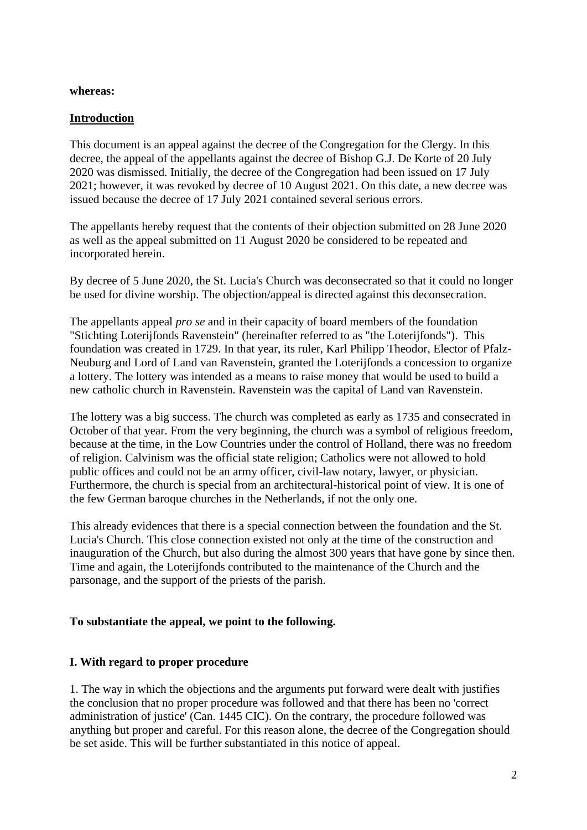#### **whereas:**

## **Introduction**

This document is an appeal against the decree of the Congregation for the Clergy. In this decree, the appeal of the appellants against the decree of Bishop G.J. De Korte of 20 July 2020 was dismissed. Initially, the decree of the Congregation had been issued on 17 July 2021; however, it was revoked by decree of 10 August 2021. On this date, a new decree was issued because the decree of 17 July 2021 contained several serious errors.

The appellants hereby request that the contents of their objection submitted on 28 June 2020 as well as the appeal submitted on 11 August 2020 be considered to be repeated and incorporated herein.

By decree of 5 June 2020, the St. Lucia's Church was deconsecrated so that it could no longer be used for divine worship. The objection/appeal is directed against this deconsecration.

The appellants appeal *pro se* and in their capacity of board members of the foundation "Stichting Loterijfonds Ravenstein" (hereinafter referred to as "the Loterijfonds"). This foundation was created in 1729. In that year, its ruler, Karl Philipp Theodor, Elector of Pfalz-Neuburg and Lord of Land van Ravenstein, granted the Loterijfonds a concession to organize a lottery. The lottery was intended as a means to raise money that would be used to build a new catholic church in Ravenstein. Ravenstein was the capital of Land van Ravenstein.

The lottery was a big success. The church was completed as early as 1735 and consecrated in October of that year. From the very beginning, the church was a symbol of religious freedom, because at the time, in the Low Countries under the control of Holland, there was no freedom of religion. Calvinism was the official state religion; Catholics were not allowed to hold public offices and could not be an army officer, civil-law notary, lawyer, or physician. Furthermore, the church is special from an architectural-historical point of view. It is one of the few German baroque churches in the Netherlands, if not the only one.

This already evidences that there is a special connection between the foundation and the St. Lucia's Church. This close connection existed not only at the time of the construction and inauguration of the Church, but also during the almost 300 years that have gone by since then. Time and again, the Loterijfonds contributed to the maintenance of the Church and the parsonage, and the support of the priests of the parish.

#### **To substantiate the appeal, we point to the following.**

#### **I. With regard to proper procedure**

1. The way in which the objections and the arguments put forward were dealt with justifies the conclusion that no proper procedure was followed and that there has been no 'correct administration of justice' (Can. 1445 CIC). On the contrary, the procedure followed was anything but proper and careful. For this reason alone, the decree of the Congregation should be set aside. This will be further substantiated in this notice of appeal.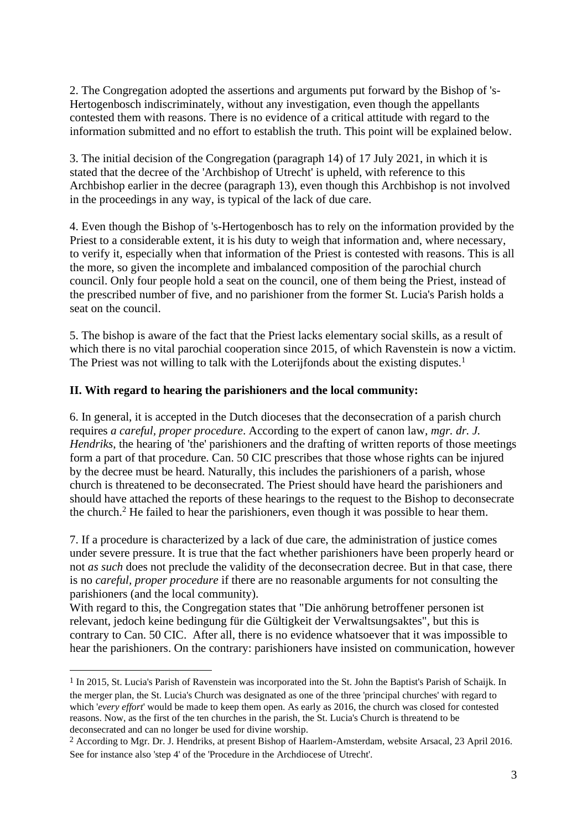2. The Congregation adopted the assertions and arguments put forward by the Bishop of 's-Hertogenbosch indiscriminately, without any investigation, even though the appellants contested them with reasons. There is no evidence of a critical attitude with regard to the information submitted and no effort to establish the truth. This point will be explained below.

3. The initial decision of the Congregation (paragraph 14) of 17 July 2021, in which it is stated that the decree of the 'Archbishop of Utrecht' is upheld, with reference to this Archbishop earlier in the decree (paragraph 13), even though this Archbishop is not involved in the proceedings in any way, is typical of the lack of due care.

4. Even though the Bishop of 's-Hertogenbosch has to rely on the information provided by the Priest to a considerable extent, it is his duty to weigh that information and, where necessary, to verify it, especially when that information of the Priest is contested with reasons. This is all the more, so given the incomplete and imbalanced composition of the parochial church council. Only four people hold a seat on the council, one of them being the Priest, instead of the prescribed number of five, and no parishioner from the former St. Lucia's Parish holds a seat on the council.

5. The bishop is aware of the fact that the Priest lacks elementary social skills, as a result of which there is no vital parochial cooperation since 2015, of which Ravenstein is now a victim. The Priest was not willing to talk with the Loterijfonds about the existing disputes.<sup>1</sup>

### **II. With regard to hearing the parishioners and the local community:**

6. In general, it is accepted in the Dutch dioceses that the deconsecration of a parish church requires *a careful, proper procedure*. According to the expert of canon law, *mgr. dr. J. Hendriks*, the hearing of 'the' parishioners and the drafting of written reports of those meetings form a part of that procedure. Can. 50 CIC prescribes that those whose rights can be injured by the decree must be heard. Naturally, this includes the parishioners of a parish, whose church is threatened to be deconsecrated. The Priest should have heard the parishioners and should have attached the reports of these hearings to the request to the Bishop to deconsecrate the church.<sup>2</sup> He failed to hear the parishioners, even though it was possible to hear them.

7. If a procedure is characterized by a lack of due care, the administration of justice comes under severe pressure. It is true that the fact whether parishioners have been properly heard or not *as such* does not preclude the validity of the deconsecration decree. But in that case, there is no *careful, proper procedure* if there are no reasonable arguments for not consulting the parishioners (and the local community).

With regard to this, the Congregation states that "Die anhörung betroffener personen ist relevant, jedoch keine bedingung für die Gültigkeit der Verwaltsungsaktes", but this is contrary to Can. 50 CIC. After all, there is no evidence whatsoever that it was impossible to hear the parishioners. On the contrary: parishioners have insisted on communication, however

<sup>1</sup> In 2015, St. Lucia's Parish of Ravenstein was incorporated into the St. John the Baptist's Parish of Schaijk. In the merger plan, the St. Lucia's Church was designated as one of the three 'principal churches' with regard to which '*every effort*' would be made to keep them open. As early as 2016, the church was closed for contested reasons. Now, as the first of the ten churches in the parish, the St. Lucia's Church is threatend to be deconsecrated and can no longer be used for divine worship.

<sup>2</sup> According to Mgr. Dr. J. Hendriks, at present Bishop of Haarlem-Amsterdam, website Arsacal, 23 April 2016. See for instance also 'step 4' of the 'Procedure in the Archdiocese of Utrecht'.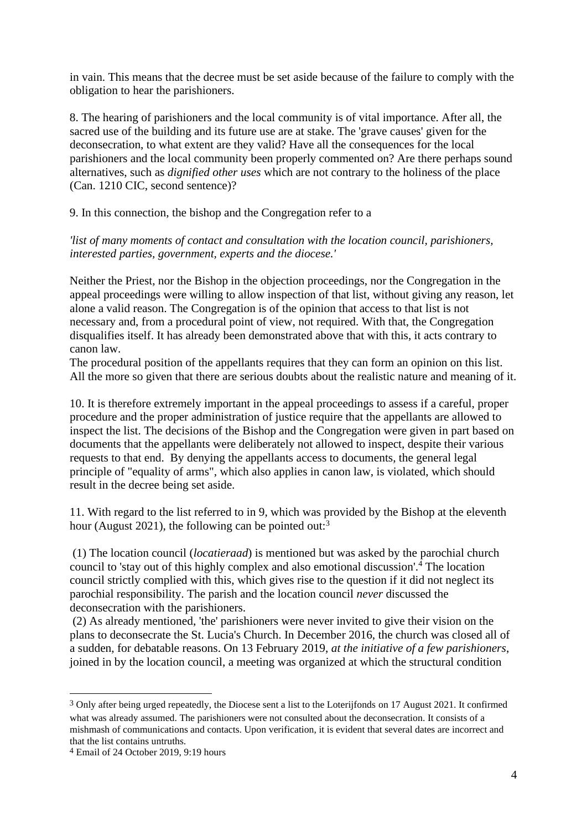in vain. This means that the decree must be set aside because of the failure to comply with the obligation to hear the parishioners.

8. The hearing of parishioners and the local community is of vital importance. After all, the sacred use of the building and its future use are at stake. The 'grave causes' given for the deconsecration, to what extent are they valid? Have all the consequences for the local parishioners and the local community been properly commented on? Are there perhaps sound alternatives, such as *dignified other uses* which are not contrary to the holiness of the place (Can. 1210 CIC, second sentence)?

9. In this connection, the bishop and the Congregation refer to a

*'list of many moments of contact and consultation with the location council, parishioners, interested parties, government, experts and the diocese.'* 

Neither the Priest, nor the Bishop in the objection proceedings, nor the Congregation in the appeal proceedings were willing to allow inspection of that list, without giving any reason, let alone a valid reason. The Congregation is of the opinion that access to that list is not necessary and, from a procedural point of view, not required. With that, the Congregation disqualifies itself. It has already been demonstrated above that with this, it acts contrary to canon law.

The procedural position of the appellants requires that they can form an opinion on this list. All the more so given that there are serious doubts about the realistic nature and meaning of it.

10. It is therefore extremely important in the appeal proceedings to assess if a careful, proper procedure and the proper administration of justice require that the appellants are allowed to inspect the list. The decisions of the Bishop and the Congregation were given in part based on documents that the appellants were deliberately not allowed to inspect, despite their various requests to that end. By denying the appellants access to documents, the general legal principle of "equality of arms", which also applies in canon law, is violated, which should result in the decree being set aside.

11. With regard to the list referred to in 9, which was provided by the Bishop at the eleventh hour (August 2021), the following can be pointed out:<sup>3</sup>

(1) The location council (*locatieraad*) is mentioned but was asked by the parochial church council to 'stay out of this highly complex and also emotional discussion'.<sup>4</sup> The location council strictly complied with this, which gives rise to the question if it did not neglect its parochial responsibility. The parish and the location council *never* discussed the deconsecration with the parishioners.

(2) As already mentioned, 'the' parishioners were never invited to give their vision on the plans to deconsecrate the St. Lucia's Church. In December 2016, the church was closed all of a sudden, for debatable reasons. On 13 February 2019, *at the initiative of a few parishioners*, joined in by the location council, a meeting was organized at which the structural condition

<sup>3</sup> Only after being urged repeatedly, the Diocese sent a list to the Loterijfonds on 17 August 2021. It confirmed what was already assumed. The parishioners were not consulted about the deconsecration. It consists of a mishmash of communications and contacts. Upon verification, it is evident that several dates are incorrect and that the list contains untruths.

<sup>4</sup> Email of 24 October 2019, 9:19 hours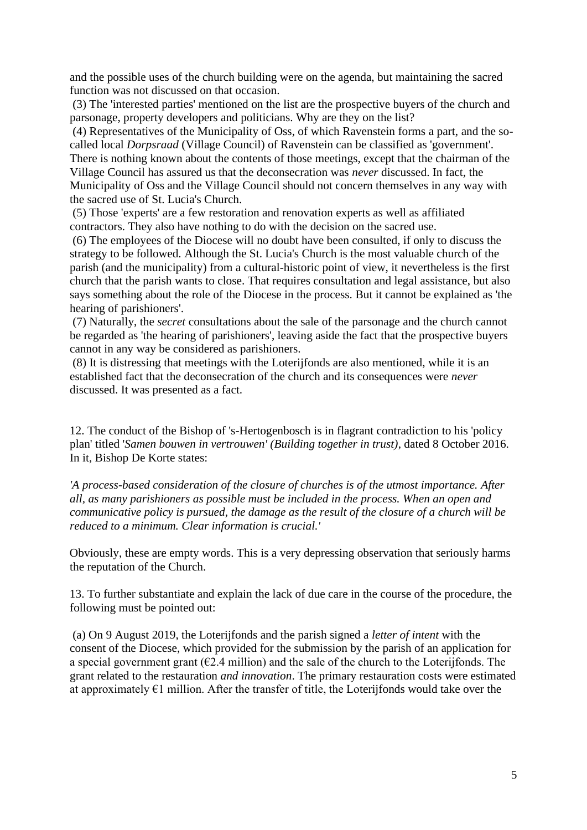and the possible uses of the church building were on the agenda, but maintaining the sacred function was not discussed on that occasion.

(3) The 'interested parties' mentioned on the list are the prospective buyers of the church and parsonage, property developers and politicians. Why are they on the list?

(4) Representatives of the Municipality of Oss, of which Ravenstein forms a part, and the socalled local *Dorpsraad* (Village Council) of Ravenstein can be classified as 'government'. There is nothing known about the contents of those meetings, except that the chairman of the Village Council has assured us that the deconsecration was *never* discussed. In fact, the Municipality of Oss and the Village Council should not concern themselves in any way with the sacred use of St. Lucia's Church.

(5) Those 'experts' are a few restoration and renovation experts as well as affiliated contractors. They also have nothing to do with the decision on the sacred use.

(6) The employees of the Diocese will no doubt have been consulted, if only to discuss the strategy to be followed. Although the St. Lucia's Church is the most valuable church of the parish (and the municipality) from a cultural-historic point of view, it nevertheless is the first church that the parish wants to close. That requires consultation and legal assistance, but also says something about the role of the Diocese in the process. But it cannot be explained as 'the hearing of parishioners'.

(7) Naturally, the *secret* consultations about the sale of the parsonage and the church cannot be regarded as 'the hearing of parishioners', leaving aside the fact that the prospective buyers cannot in any way be considered as parishioners.

(8) It is distressing that meetings with the Loterijfonds are also mentioned, while it is an established fact that the deconsecration of the church and its consequences were *never* discussed. It was presented as a fact.

12. The conduct of the Bishop of 's-Hertogenbosch is in flagrant contradiction to his 'policy plan' titled '*Samen bouwen in vertrouwen' (Building together in trust)*, dated 8 October 2016. In it, Bishop De Korte states:

*'A process-based consideration of the closure of churches is of the utmost importance. After all, as many parishioners as possible must be included in the process. When an open and communicative policy is pursued, the damage as the result of the closure of a church will be reduced to a minimum. Clear information is crucial.'*

Obviously, these are empty words. This is a very depressing observation that seriously harms the reputation of the Church.

13. To further substantiate and explain the lack of due care in the course of the procedure, the following must be pointed out:

(a) On 9 August 2019, the Loterijfonds and the parish signed a *letter of intent* with the consent of the Diocese, which provided for the submission by the parish of an application for a special government grant ( $\epsilon$ 2.4 million) and the sale of the church to the Loterijfonds. The grant related to the restauration *and innovation*. The primary restauration costs were estimated at approximately  $\epsilon$ 1 million. After the transfer of title, the Loterijfonds would take over the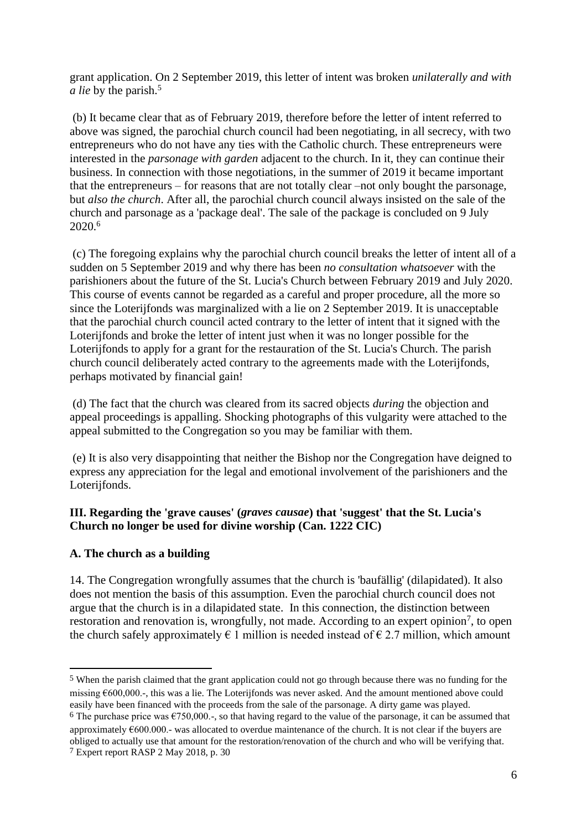grant application. On 2 September 2019, this letter of intent was broken *unilaterally and with a lie* by the parish.<sup>5</sup>

(b) It became clear that as of February 2019, therefore before the letter of intent referred to above was signed, the parochial church council had been negotiating, in all secrecy, with two entrepreneurs who do not have any ties with the Catholic church. These entrepreneurs were interested in the *parsonage with garden* adjacent to the church. In it, they can continue their business. In connection with those negotiations, in the summer of 2019 it became important that the entrepreneurs – for reasons that are not totally clear –not only bought the parsonage, but *also the church*. After all, the parochial church council always insisted on the sale of the church and parsonage as a 'package deal'. The sale of the package is concluded on 9 July 2020.<sup>6</sup>

(c) The foregoing explains why the parochial church council breaks the letter of intent all of a sudden on 5 September 2019 and why there has been *no consultation whatsoever* with the parishioners about the future of the St. Lucia's Church between February 2019 and July 2020. This course of events cannot be regarded as a careful and proper procedure, all the more so since the Loterijfonds was marginalized with a lie on 2 September 2019. It is unacceptable that the parochial church council acted contrary to the letter of intent that it signed with the Loterijfonds and broke the letter of intent just when it was no longer possible for the Loterijfonds to apply for a grant for the restauration of the St. Lucia's Church. The parish church council deliberately acted contrary to the agreements made with the Loterijfonds, perhaps motivated by financial gain!

(d) The fact that the church was cleared from its sacred objects *during* the objection and appeal proceedings is appalling. Shocking photographs of this vulgarity were attached to the appeal submitted to the Congregation so you may be familiar with them.

(e) It is also very disappointing that neither the Bishop nor the Congregation have deigned to express any appreciation for the legal and emotional involvement of the parishioners and the Loterijfonds.

### **III. Regarding the 'grave causes' (***graves causae***) that 'suggest' that the St. Lucia's Church no longer be used for divine worship (Can. 1222 CIC)**

# **A. The church as a building**

14. The Congregation wrongfully assumes that the church is 'baufällig' (dilapidated). It also does not mention the basis of this assumption. Even the parochial church council does not argue that the church is in a dilapidated state. In this connection, the distinction between restoration and renovation is, wrongfully, not made. According to an expert opinion<sup>7</sup>, to open the church safely approximately  $\epsilon$  1 million is needed instead of  $\epsilon$  2.7 million, which amount

<sup>5</sup> When the parish claimed that the grant application could not go through because there was no funding for the missing €600,000.-, this was a lie. The Loterijfonds was never asked. And the amount mentioned above could easily have been financed with the proceeds from the sale of the parsonage. A dirty game was played.

<sup>6</sup> The purchase price was  $\epsilon$ 750,000.-, so that having regard to the value of the parsonage, it can be assumed that approximately €600.000.- was allocated to overdue maintenance of the church. It is not clear if the buyers are obliged to actually use that amount for the restoration/renovation of the church and who will be verifying that. 7 Expert report RASP 2 May 2018, p. 30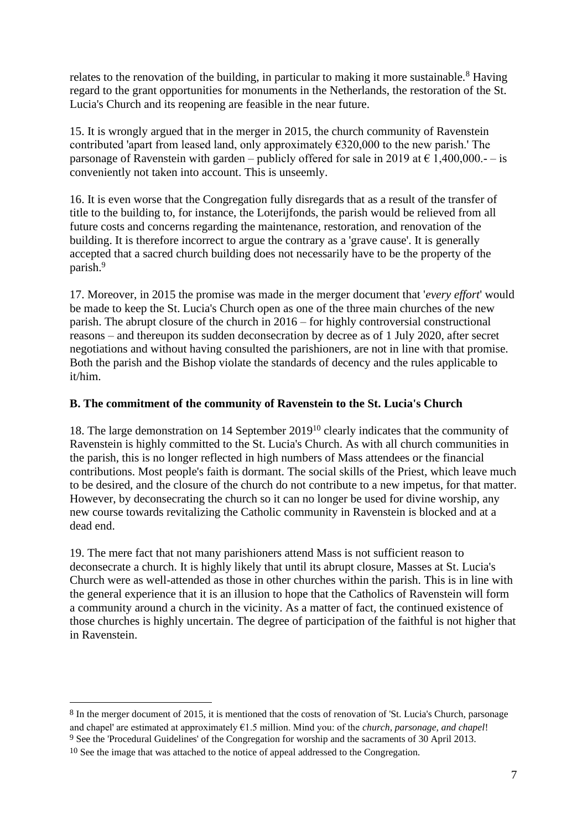relates to the renovation of the building, in particular to making it more sustainable.<sup>8</sup> Having regard to the grant opportunities for monuments in the Netherlands, the restoration of the St. Lucia's Church and its reopening are feasible in the near future.

15. It is wrongly argued that in the merger in 2015, the church community of Ravenstein contributed 'apart from leased land, only approximately  $\epsilon$ 320,000 to the new parish.' The parsonage of Ravenstein with garden – publicly offered for sale in 2019 at  $\epsilon$  1,400,000.- – is conveniently not taken into account. This is unseemly.

16. It is even worse that the Congregation fully disregards that as a result of the transfer of title to the building to, for instance, the Loterijfonds, the parish would be relieved from all future costs and concerns regarding the maintenance, restoration, and renovation of the building. It is therefore incorrect to argue the contrary as a 'grave cause'. It is generally accepted that a sacred church building does not necessarily have to be the property of the parish.<sup>9</sup>

17. Moreover, in 2015 the promise was made in the merger document that '*every effort*' would be made to keep the St. Lucia's Church open as one of the three main churches of the new parish. The abrupt closure of the church in 2016 – for highly controversial constructional reasons – and thereupon its sudden deconsecration by decree as of 1 July 2020, after secret negotiations and without having consulted the parishioners, are not in line with that promise. Both the parish and the Bishop violate the standards of decency and the rules applicable to it/him.

# **B. The commitment of the community of Ravenstein to the St. Lucia's Church**

18. The large demonstration on 14 September 2019<sup>10</sup> clearly indicates that the community of Ravenstein is highly committed to the St. Lucia's Church. As with all church communities in the parish, this is no longer reflected in high numbers of Mass attendees or the financial contributions. Most people's faith is dormant. The social skills of the Priest, which leave much to be desired, and the closure of the church do not contribute to a new impetus, for that matter. However, by deconsecrating the church so it can no longer be used for divine worship, any new course towards revitalizing the Catholic community in Ravenstein is blocked and at a dead end.

19. The mere fact that not many parishioners attend Mass is not sufficient reason to deconsecrate a church. It is highly likely that until its abrupt closure, Masses at St. Lucia's Church were as well-attended as those in other churches within the parish. This is in line with the general experience that it is an illusion to hope that the Catholics of Ravenstein will form a community around a church in the vicinity. As a matter of fact, the continued existence of those churches is highly uncertain. The degree of participation of the faithful is not higher that in Ravenstein.

<sup>8</sup> In the merger document of 2015, it is mentioned that the costs of renovation of 'St. Lucia's Church, parsonage and chapel' are estimated at approximately €1.5 million. Mind you: of the *church, parsonage, and chapel*! 9 See the 'Procedural Guidelines' of the Congregation for worship and the sacraments of 30 April 2013. 10 See the image that was attached to the notice of appeal addressed to the Congregation.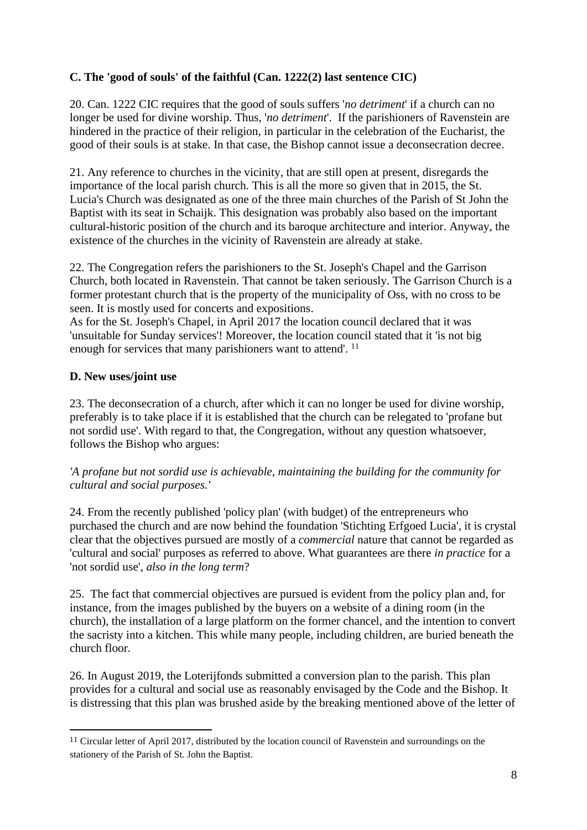# **C. The 'good of souls' of the faithful (Can. 1222(2) last sentence CIC)**

20. Can. 1222 CIC requires that the good of souls suffers '*no detriment*' if a church can no longer be used for divine worship. Thus, '*no detriment*'. If the parishioners of Ravenstein are hindered in the practice of their religion, in particular in the celebration of the Eucharist, the good of their souls is at stake. In that case, the Bishop cannot issue a deconsecration decree.

21. Any reference to churches in the vicinity, that are still open at present, disregards the importance of the local parish church. This is all the more so given that in 2015, the St. Lucia's Church was designated as one of the three main churches of the Parish of St John the Baptist with its seat in Schaijk. This designation was probably also based on the important cultural-historic position of the church and its baroque architecture and interior. Anyway, the existence of the churches in the vicinity of Ravenstein are already at stake.

22. The Congregation refers the parishioners to the St. Joseph's Chapel and the Garrison Church, both located in Ravenstein. That cannot be taken seriously. The Garrison Church is a former protestant church that is the property of the municipality of Oss, with no cross to be seen. It is mostly used for concerts and expositions.

As for the St. Joseph's Chapel, in April 2017 the location council declared that it was 'unsuitable for Sunday services'! Moreover, the location council stated that it 'is not big enough for services that many parishioners want to attend'. <sup>11</sup>

### **D. New uses/joint use**

23. The deconsecration of a church, after which it can no longer be used for divine worship, preferably is to take place if it is established that the church can be relegated to 'profane but not sordid use'. With regard to that, the Congregation, without any question whatsoever, follows the Bishop who argues:

# *'A profane but not sordid use is achievable, maintaining the building for the community for cultural and social purposes.'*

24. From the recently published 'policy plan' (with budget) of the entrepreneurs who purchased the church and are now behind the foundation 'Stichting Erfgoed Lucia', it is crystal clear that the objectives pursued are mostly of a *commercial* nature that cannot be regarded as 'cultural and social' purposes as referred to above. What guarantees are there *in practice* for a 'not sordid use', *also in the long term*?

25. The fact that commercial objectives are pursued is evident from the policy plan and, for instance, from the images published by the buyers on a website of a dining room (in the church), the installation of a large platform on the former chancel, and the intention to convert the sacristy into a kitchen. This while many people, including children, are buried beneath the church floor.

26. In August 2019, the Loterijfonds submitted a conversion plan to the parish. This plan provides for a cultural and social use as reasonably envisaged by the Code and the Bishop. It is distressing that this plan was brushed aside by the breaking mentioned above of the letter of

<sup>11</sup> Circular letter of April 2017, distributed by the location council of Ravenstein and surroundings on the stationery of the Parish of St. John the Baptist.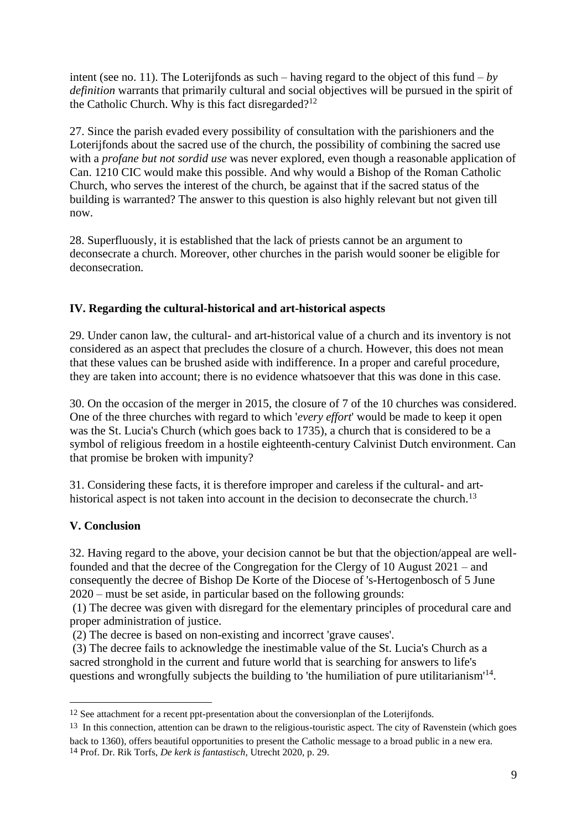intent (see no. 11). The Loterijfonds as such – having regard to the object of this fund –  $by$ *definition* warrants that primarily cultural and social objectives will be pursued in the spirit of the Catholic Church. Why is this fact disregarded?<sup>12</sup>

27. Since the parish evaded every possibility of consultation with the parishioners and the Loterijfonds about the sacred use of the church, the possibility of combining the sacred use with a *profane but not sordid use* was never explored, even though a reasonable application of Can. 1210 CIC would make this possible. And why would a Bishop of the Roman Catholic Church, who serves the interest of the church, be against that if the sacred status of the building is warranted? The answer to this question is also highly relevant but not given till now.

28. Superfluously, it is established that the lack of priests cannot be an argument to deconsecrate a church. Moreover, other churches in the parish would sooner be eligible for deconsecration.

# **IV. Regarding the cultural-historical and art-historical aspects**

29. Under canon law, the cultural- and art-historical value of a church and its inventory is not considered as an aspect that precludes the closure of a church. However, this does not mean that these values can be brushed aside with indifference. In a proper and careful procedure, they are taken into account; there is no evidence whatsoever that this was done in this case.

30. On the occasion of the merger in 2015, the closure of 7 of the 10 churches was considered. One of the three churches with regard to which '*every effort*' would be made to keep it open was the St. Lucia's Church (which goes back to 1735), a church that is considered to be a symbol of religious freedom in a hostile eighteenth-century Calvinist Dutch environment. Can that promise be broken with impunity?

31. Considering these facts, it is therefore improper and careless if the cultural- and arthistorical aspect is not taken into account in the decision to deconsecrate the church.<sup>13</sup>

# **V. Conclusion**

32. Having regard to the above, your decision cannot be but that the objection/appeal are wellfounded and that the decree of the Congregation for the Clergy of 10 August 2021 – and consequently the decree of Bishop De Korte of the Diocese of 's-Hertogenbosch of 5 June 2020 – must be set aside, in particular based on the following grounds:

(1) The decree was given with disregard for the elementary principles of procedural care and proper administration of justice.

(2) The decree is based on non-existing and incorrect 'grave causes'.

(3) The decree fails to acknowledge the inestimable value of the St. Lucia's Church as a sacred stronghold in the current and future world that is searching for answers to life's questions and wrongfully subjects the building to 'the humiliation of pure utilitarianism'<sup>14</sup>.

<sup>&</sup>lt;sup>12</sup> See attachment for a recent ppt-presentation about the conversionplan of the Loterijfonds.

<sup>13</sup> In this connection, attention can be drawn to the religious-touristic aspect. The city of Ravenstein (which goes back to 1360), offers beautiful opportunities to present the Catholic message to a broad public in a new era. 14 Prof. Dr. Rik Torfs, *De kerk is fantastisch*, Utrecht 2020, p. 29.